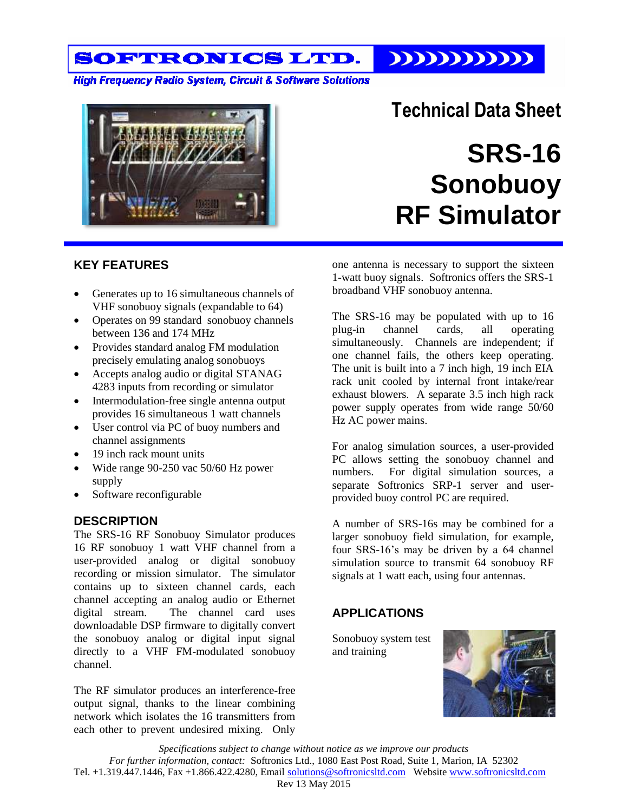SOFTRONICS LTD. 

**High Frequency Radio System, Circuit & Software Solutions** 



# **Technical Data Sheet SRS-16 Sonobuoy**

**RF Simulator**

### **KEY FEATURES**

- Generates up to 16 simultaneous channels of VHF sonobuoy signals (expandable to 64)
- Operates on 99 standard sonobuoy channels between 136 and 174 MHz
- Provides standard analog FM modulation precisely emulating analog sonobuoys
- Accepts analog audio or digital STANAG 4283 inputs from recording or simulator
- Intermodulation-free single antenna output provides 16 simultaneous 1 watt channels
- User control via PC of buoy numbers and channel assignments
- 19 inch rack mount units
- Wide range 90-250 vac 50/60 Hz power supply
- Software reconfigurable

### **DESCRIPTION**

The SRS-16 RF Sonobuoy Simulator produces 16 RF sonobuoy 1 watt VHF channel from a user-provided analog or digital sonobuoy recording or mission simulator. The simulator contains up to sixteen channel cards, each channel accepting an analog audio or Ethernet digital stream. The channel card uses downloadable DSP firmware to digitally convert the sonobuoy analog or digital input signal directly to a VHF FM-modulated sonobuoy channel.

The RF simulator produces an interference-free output signal, thanks to the linear combining network which isolates the 16 transmitters from each other to prevent undesired mixing. Only

one antenna is necessary to support the sixteen 1-watt buoy signals. Softronics offers the SRS-1 broadband VHF sonobuoy antenna.

The SRS-16 may be populated with up to 16 plug-in channel cards, all operating simultaneously. Channels are independent; if one channel fails, the others keep operating. The unit is built into a 7 inch high, 19 inch EIA rack unit cooled by internal front intake/rear exhaust blowers. A separate 3.5 inch high rack power supply operates from wide range 50/60 Hz AC power mains.

For analog simulation sources, a user-provided PC allows setting the sonobuoy channel and numbers. For digital simulation sources, a separate Softronics SRP-1 server and userprovided buoy control PC are required.

A number of SRS-16s may be combined for a larger sonobuoy field simulation, for example, four SRS-16's may be driven by a 64 channel simulation source to transmit 64 sonobuoy RF signals at 1 watt each, using four antennas.

# **APPLICATIONS**

Sonobuoy system test and training



*Specifications subject to change without notice as we improve our products For further information, contact:* Softronics Ltd., 1080 East Post Road, Suite 1, Marion, IA 52302 Tel. +1.319.447.1446, Fax +1.866.422.4280, Email [solutions@softronicsltd.com](mailto:solutions@softronicsltd.com) Website [www.softronicsltd.com](http://www.softronicsltd.com/) Rev 13 May 2015